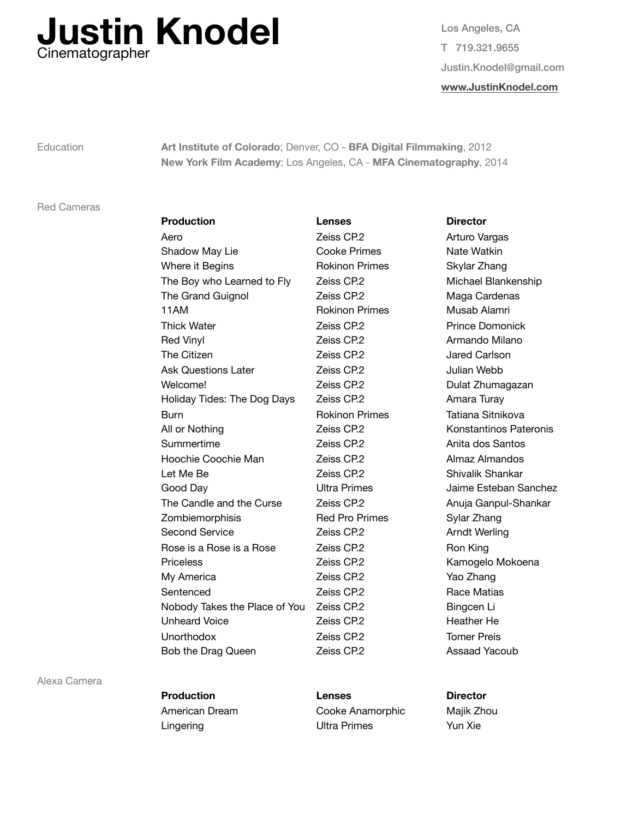

Los Angeles, CA T 719.321.9655 Justin.Knodel@gmail.com **[www.JustinKnodel.com](http://www.JustinKnodel.com)**

Education **Art Institute of Colorado**; Denver, CO - **BFA Digital Filmmaking**, 2012 **New York Film Academy**; Los Angeles, CA - **MFA Cinematography**, 2014

## Red Cameras

| <b>Production</b>             | <b>Lenses</b>         | <b>Director</b>        |
|-------------------------------|-----------------------|------------------------|
| Aero                          | Zeiss CP.2            | Arturo Vargas          |
| Shadow May Lie                | <b>Cooke Primes</b>   | Nate Watkin            |
| Where it Begins               | <b>Rokinon Primes</b> | Skylar Zhang           |
| The Boy who Learned to Fly    | Zeiss CP.2            | Michael Blanken        |
| The Grand Guignol             | Zeiss CP.2            | Maga Cardenas          |
| 11AM                          | <b>Rokinon Primes</b> | Musab Alamri           |
| <b>Thick Water</b>            | Zeiss CP.2            | <b>Prince Domonick</b> |
| Red Vinyl                     | Zeiss CP.2            | Armando Milano         |
| The Citizen                   | Zeiss CP.2            | Jared Carlson          |
| <b>Ask Questions Later</b>    | Zeiss CP.2            | Julian Webb            |
| Welcome!                      | Zeiss CP.2            | Dulat Zhumagaza        |
| Holiday Tides: The Dog Days   | Zeiss CP.2            | Amara Turay            |
| <b>Burn</b>                   | <b>Rokinon Primes</b> | Tatiana Sitnikova      |
| All or Nothing                | Zeiss CP.2            | Konstantinos Pa        |
| Summertime                    | Zeiss CP.2            | Anita dos Santos       |
| Hoochie Coochie Man           | Zeiss CP.2            | Almaz Almandos         |
| Let Me Be                     | Zeiss CP.2            | Shivalik Shankar       |
| Good Day                      | <b>Ultra Primes</b>   | Jaime Esteban S        |
| The Candle and the Curse      | Zeiss CP.2            | Anuja Ganpul-Sh        |
| Zombiemorphisis               | <b>Red Pro Primes</b> | Sylar Zhang            |
| <b>Second Service</b>         | Zeiss CP.2            | Arndt Werling          |
| Rose is a Rose is a Rose      | Zeiss CP.2            | Ron King               |
| <b>Priceless</b>              | Zeiss CP.2            | Kamogelo Moko          |
| My America                    | Zeiss CP.2            | Yao Zhang              |
| Sentenced                     | Zeiss CP.2            | Race Matias            |
| Nobody Takes the Place of You | Zeiss CP.2            | Bingcen Li             |
| <b>Unheard Voice</b>          | Zeiss CP.2            | Heather He             |
| Unorthodox                    | Zeiss CP.2            | <b>Tomer Preis</b>     |
| Bob the Drag Queen            | Zeiss CP.2            | Assaad Yacoub          |

## Arturo Vargas nes **Nate Watkin** imes Skylar Zhang Michael Blankenship Maga Cardenas imes **Musab Alamri** Prince Domonick Armando Milano Jared Carlson Julian Webb Dulat Zhumagazan Amara Turay imes **Tatiana Sitnikova** Konstantinos Pateronis Anita dos Santos Almaz Almandos Shivalik Shankar es **Day Bridge Ultra Day Daime Esteban Sanchez** Anuja Ganpul-Shankar imes Sylar Zhang Arndt Werling Ron King Kamogelo Mokoena Yao Zhang Race Matias Bingcen Li Heather He Tomer Preis Assaad Yacoub

Alexa Camera

 **Production Lenses Director** American Dream **Cooke Anamorphic** Majik Zhou Lingering **Contract Contract Contract Contract Contract Contract Contract Contract Contract Contract Contract Contract Contract Contract Contract Contract Contract Contract Contract Contract Contract Contract Contract Cont**